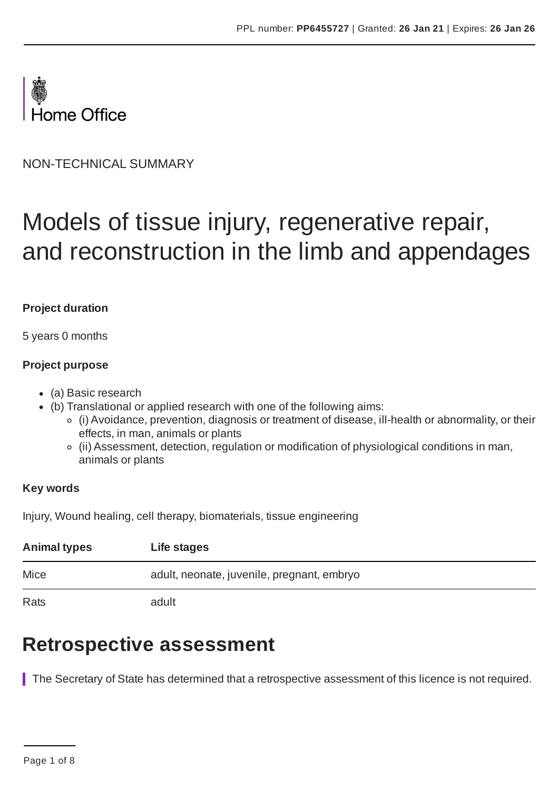

NON-TECHNICAL SUMMARY

# Models of tissue injury, regenerative repair, and reconstruction in the limb and appendages

#### **Project duration**

5 years 0 months

#### **Project purpose**

- (a) Basic research
- (b) Translational or applied research with one of the following aims:
	- (i) Avoidance, prevention, diagnosis or treatment of disease, ill-health or abnormality, or their effects, in man, animals or plants
	- (ii) Assessment, detection, regulation or modification of physiological conditions in man, animals or plants

#### **Key words**

Injury, Wound healing, cell therapy, biomaterials, tissue engineering

| <b>Animal types</b> | Life stages                                |
|---------------------|--------------------------------------------|
| Mice                | adult, neonate, juvenile, pregnant, embryo |
| Rats                | adult                                      |

### **Retrospective assessment**

The Secretary of State has determined that a retrospective assessment of this licence is not required.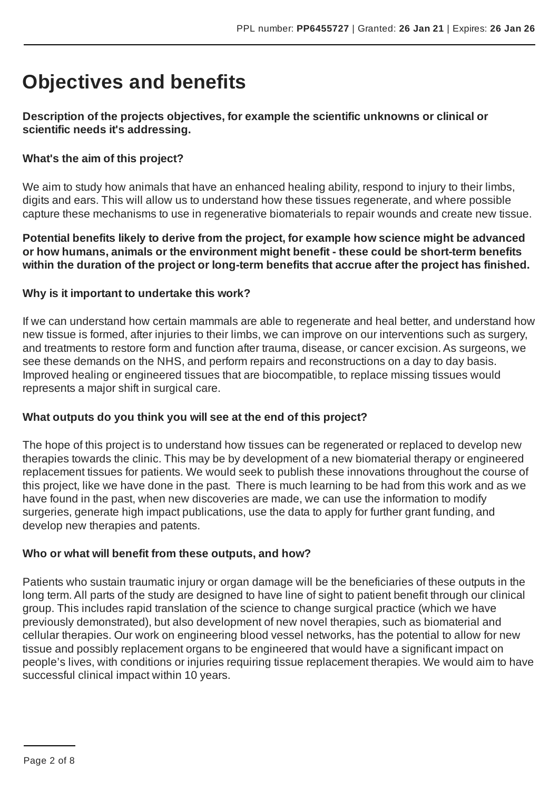# **Objectives and benefits**

#### **Description of the projects objectives, for example the scientific unknowns or clinical or scientific needs it's addressing.**

#### **What's the aim of this project?**

We aim to study how animals that have an enhanced healing ability, respond to injury to their limbs, digits and ears. This will allow us to understand how these tissues regenerate, and where possible capture these mechanisms to use in regenerative biomaterials to repair wounds and create new tissue.

**Potential benefits likely to derive from the project, for example how science might be advanced or how humans, animals or the environment might benefit - these could be short-term benefits within the duration of the project or long-term benefits that accrue after the project has finished.**

#### **Why is it important to undertake this work?**

If we can understand how certain mammals are able to regenerate and heal better, and understand how new tissue is formed, after injuries to their limbs, we can improve on our interventions such as surgery, and treatments to restore form and function after trauma, disease, or cancer excision.As surgeons, we see these demands on the NHS, and perform repairs and reconstructions on a day to day basis. Improved healing or engineered tissues that are biocompatible, to replace missing tissues would represents a major shift in surgical care.

#### **What outputs do you think you will see at the end of this project?**

The hope of this project is to understand how tissues can be regenerated or replaced to develop new therapies towards the clinic. This may be by development of a new biomaterial therapy or engineered replacement tissues for patients. We would seek to publish these innovations throughout the course of this project, like we have done in the past. There is much learning to be had from this work and as we have found in the past, when new discoveries are made, we can use the information to modify surgeries, generate high impact publications, use the data to apply for further grant funding, and develop new therapies and patents.

#### **Who or what will benefit from these outputs, and how?**

Patients who sustain traumatic injury or organ damage will be the beneficiaries of these outputs in the long term.All parts of the study are designed to have line of sight to patient benefit through our clinical group. This includes rapid translation of the science to change surgical practice (which we have previously demonstrated), but also development of new novel therapies, such as biomaterial and cellular therapies. Our work on engineering blood vessel networks, has the potential to allow for new tissue and possibly replacement organs to be engineered that would have a significant impact on people's lives, with conditions or injuries requiring tissue replacement therapies. We would aim to have successful clinical impact within 10 years.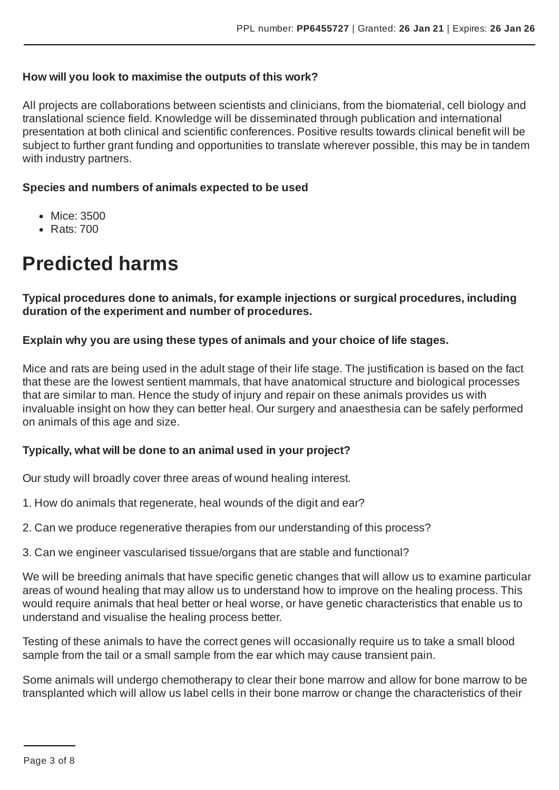#### **How will you look to maximise the outputs of this work?**

All projects are collaborations between scientists and clinicians, from the biomaterial, cell biology and translational science field. Knowledge will be disseminated through publication and international presentation at both clinical and scientific conferences. Positive results towards clinical benefit will be subject to further grant funding and opportunities to translate wherever possible, this may be in tandem with industry partners.

#### **Species and numbers of animals expected to be used**

- Mice: 3500
- Rats: 700

# **Predicted harms**

**Typical procedures done to animals, for example injections or surgical procedures, including duration of the experiment and number of procedures.**

#### **Explain why you are using these types of animals and your choice of life stages.**

Mice and rats are being used in the adult stage of their life stage. The justification is based on the fact that these are the lowest sentient mammals, that have anatomical structure and biological processes that are similar to man. Hence the study of injury and repair on these animals provides us with invaluable insight on how they can better heal. Our surgery and anaesthesia can be safely performed on animals of this age and size.

#### **Typically, what will be done to an animal used in your project?**

Our study will broadly cover three areas of wound healing interest.

- 1. How do animals that regenerate, heal wounds of the digit and ear?
- 2. Can we produce regenerative therapies from our understanding of this process?
- 3. Can we engineer vascularised tissue/organs that are stable and functional?

We will be breeding animals that have specific genetic changes that will allow us to examine particular areas of wound healing that may allow us to understand how to improve on the healing process. This would require animals that heal better or heal worse, or have genetic characteristics that enable us to understand and visualise the healing process better.

Testing of these animals to have the correct genes will occasionally require us to take a small blood sample from the tail or a small sample from the ear which may cause transient pain.

Some animals will undergo chemotherapy to clear their bone marrow and allow for bone marrow to be transplanted which will allow us label cells in their bone marrow or change the characteristics of their

Page 3 of 8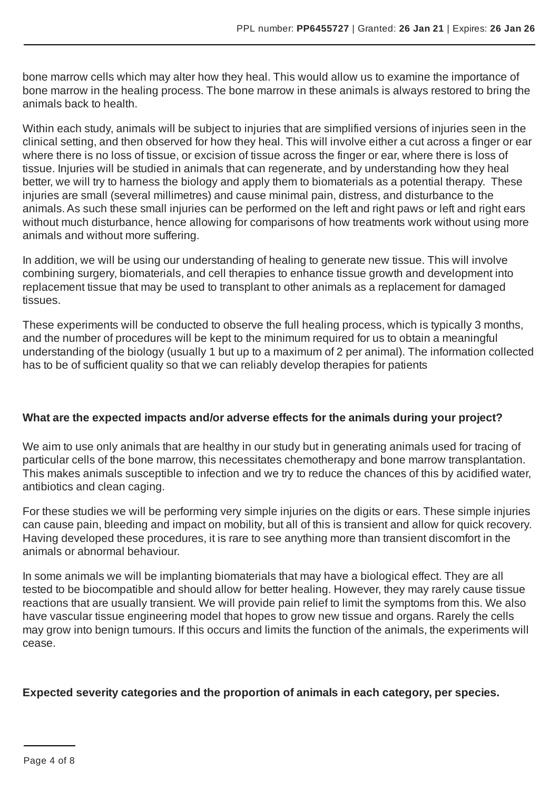bone marrow cells which may alter how they heal. This would allow us to examine the importance of bone marrow in the healing process. The bone marrow in these animals is always restored to bring the animals back to health.

Within each study, animals will be subject to injuries that are simplified versions of injuries seen in the clinical setting, and then observed for how they heal. This will involve either a cut across a finger or ear where there is no loss of tissue, or excision of tissue across the finger or ear, where there is loss of tissue. Injuries will be studied in animals that can regenerate, and by understanding how they heal better, we will try to harness the biology and apply them to biomaterials as a potential therapy. These injuries are small (several millimetres) and cause minimal pain, distress, and disturbance to the animals.As such these small injuries can be performed on the left and right paws or left and right ears without much disturbance, hence allowing for comparisons of how treatments work without using more animals and without more suffering.

In addition, we will be using our understanding of healing to generate new tissue. This will involve combining surgery, biomaterials, and cell therapies to enhance tissue growth and development into replacement tissue that may be used to transplant to other animals as a replacement for damaged tissues.

These experiments will be conducted to observe the full healing process, which is typically 3 months, and the number of procedures will be kept to the minimum required for us to obtain a meaningful understanding of the biology (usually 1 but up to a maximum of 2 per animal). The information collected has to be of sufficient quality so that we can reliably develop therapies for patients

#### **What are the expected impacts and/or adverse effects for the animals during your project?**

We aim to use only animals that are healthy in our study but in generating animals used for tracing of particular cells of the bone marrow, this necessitates chemotherapy and bone marrow transplantation. This makes animals susceptible to infection and we try to reduce the chances of this by acidified water, antibiotics and clean caging.

For these studies we will be performing very simple injuries on the digits or ears. These simple injuries can cause pain, bleeding and impact on mobility, but all of this is transient and allow for quick recovery. Having developed these procedures, it is rare to see anything more than transient discomfort in the animals or abnormal behaviour.

In some animals we will be implanting biomaterials that may have a biological effect. They are all tested to be biocompatible and should allow for better healing. However, they may rarely cause tissue reactions that are usually transient. We will provide pain relief to limit the symptoms from this. We also have vascular tissue engineering model that hopes to grow new tissue and organs. Rarely the cells may grow into benign tumours. If this occurs and limits the function of the animals, the experiments will cease.

#### **Expected severity categories and the proportion of animals in each category, per species.**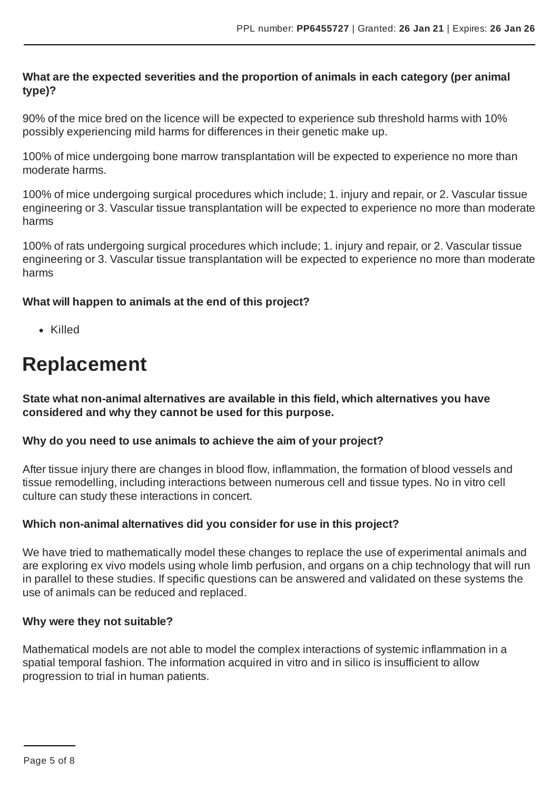#### **What are the expected severities and the proportion of animals in each category (per animal type)?**

90% of the mice bred on the licence will be expected to experience sub threshold harms with 10% possibly experiencing mild harms for differences in their genetic make up.

100% of mice undergoing bone marrow transplantation will be expected to experience no more than moderate harms.

100% of mice undergoing surgical procedures which include; 1. injury and repair, or 2. Vascular tissue engineering or 3. Vascular tissue transplantation will be expected to experience no more than moderate harms

100% of rats undergoing surgical procedures which include; 1. injury and repair, or 2. Vascular tissue engineering or 3. Vascular tissue transplantation will be expected to experience no more than moderate harms

#### **What will happen to animals at the end of this project?**

Killed

# **Replacement**

**State what non-animal alternatives are available in this field, which alternatives you have considered and why they cannot be used for this purpose.**

#### **Why do you need to use animals to achieve the aim of your project?**

After tissue injury there are changes in blood flow, inflammation, the formation of blood vessels and tissue remodelling, including interactions between numerous cell and tissue types. No in vitro cell culture can study these interactions in concert.

#### **Which non-animal alternatives did you consider for use in this project?**

We have tried to mathematically model these changes to replace the use of experimental animals and are exploring ex vivo models using whole limb perfusion, and organs on a chip technology that will run in parallel to these studies. If specific questions can be answered and validated on these systems the use of animals can be reduced and replaced.

#### **Why were they not suitable?**

Mathematical models are not able to model the complex interactions of systemic inflammation in a spatial temporal fashion. The information acquired in vitro and in silico is insufficient to allow progression to trial in human patients.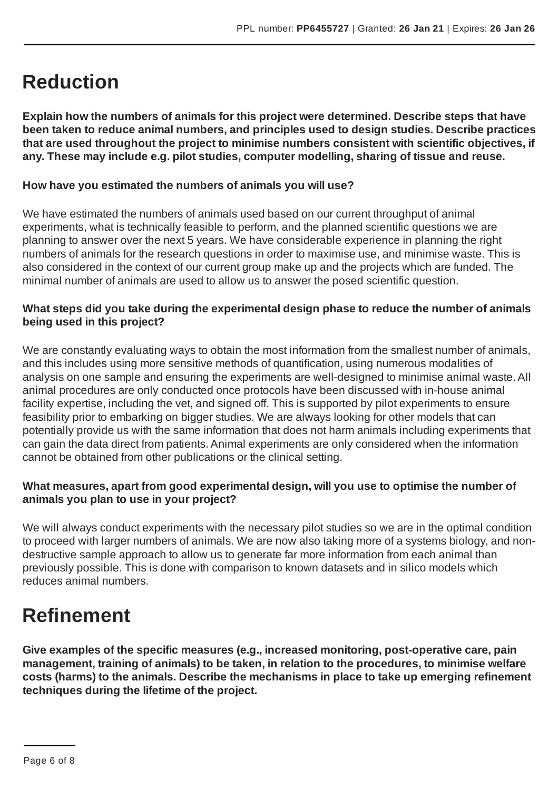### **Reduction**

**Explain how the numbers of animals for this project were determined. Describe steps that have been taken to reduce animal numbers, and principles used to design studies. Describe practices that are used throughout the project to minimise numbers consistent with scientific objectives, if any. These may include e.g. pilot studies, computer modelling, sharing of tissue and reuse.**

#### **How have you estimated the numbers of animals you will use?**

We have estimated the numbers of animals used based on our current throughput of animal experiments, what is technically feasible to perform, and the planned scientific questions we are planning to answer over the next 5 years. We have considerable experience in planning the right numbers of animals for the research questions in order to maximise use, and minimise waste. This is also considered in the context of our current group make up and the projects which are funded. The minimal number of animals are used to allow us to answer the posed scientific question.

#### **What steps did you take during the experimental design phase to reduce the number of animals being used in this project?**

We are constantly evaluating ways to obtain the most information from the smallest number of animals, and this includes using more sensitive methods of quantification, using numerous modalities of analysis on one sample and ensuring the experiments are well-designed to minimise animal waste.All animal procedures are only conducted once protocols have been discussed with in-house animal facility expertise, including the vet, and signed off. This is supported by pilot experiments to ensure feasibility prior to embarking on bigger studies. We are always looking for other models that can potentially provide us with the same information that does not harm animals including experiments that can gain the data direct from patients.Animal experiments are only considered when the information cannot be obtained from other publications or the clinical setting.

#### **What measures, apart from good experimental design, will you use to optimise the number of animals you plan to use in your project?**

We will always conduct experiments with the necessary pilot studies so we are in the optimal condition to proceed with larger numbers of animals. We are now also taking more of a systems biology, and nondestructive sample approach to allow us to generate far more information from each animal than previously possible. This is done with comparison to known datasets and in silico models which reduces animal numbers.

### **Refinement**

**Give examples of the specific measures (e.g., increased monitoring, post-operative care, pain management, training of animals) to be taken, in relation to the procedures, to minimise welfare costs (harms) to the animals. Describe the mechanisms in place to take up emerging refinement techniques during the lifetime of the project.**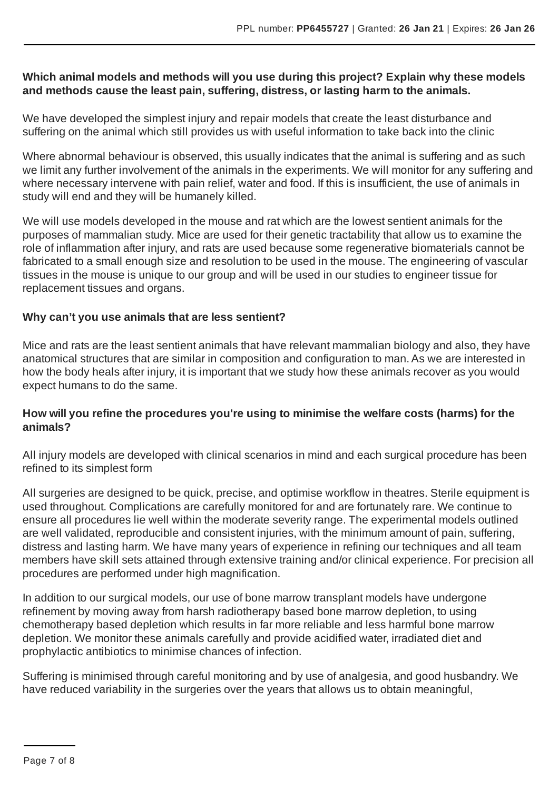#### **Which animal models and methods will you use during this project? Explain why these models and methods cause the least pain, suffering, distress, or lasting harm to the animals.**

We have developed the simplest injury and repair models that create the least disturbance and suffering on the animal which still provides us with useful information to take back into the clinic

Where abnormal behaviour is observed, this usually indicates that the animal is suffering and as such we limit any further involvement of the animals in the experiments. We will monitor for any suffering and where necessary intervene with pain relief, water and food. If this is insufficient, the use of animals in study will end and they will be humanely killed.

We will use models developed in the mouse and rat which are the lowest sentient animals for the purposes of mammalian study. Mice are used for their genetic tractability that allow us to examine the role of inflammation after injury, and rats are used because some regenerative biomaterials cannot be fabricated to a small enough size and resolution to be used in the mouse. The engineering of vascular tissues in the mouse is unique to our group and will be used in our studies to engineer tissue for replacement tissues and organs.

#### **Why can't you use animals that are less sentient?**

Mice and rats are the least sentient animals that have relevant mammalian biology and also, they have anatomical structures that are similar in composition and configuration to man.As we are interested in how the body heals after injury, it is important that we study how these animals recover as you would expect humans to do the same.

#### **How will you refine the procedures you're using to minimise the welfare costs (harms) for the animals?**

All injury models are developed with clinical scenarios in mind and each surgical procedure has been refined to its simplest form

All surgeries are designed to be quick, precise, and optimise workflow in theatres. Sterile equipment is used throughout. Complications are carefully monitored for and are fortunately rare. We continue to ensure all procedures lie well within the moderate severity range. The experimental models outlined are well validated, reproducible and consistent injuries, with the minimum amount of pain, suffering, distress and lasting harm. We have many years of experience in refining our techniques and all team members have skill sets attained through extensive training and/or clinical experience. For precision all procedures are performed under high magnification.

In addition to our surgical models, our use of bone marrow transplant models have undergone refinement by moving away from harsh radiotherapy based bone marrow depletion, to using chemotherapy based depletion which results in far more reliable and less harmful bone marrow depletion. We monitor these animals carefully and provide acidified water, irradiated diet and prophylactic antibiotics to minimise chances of infection.

Suffering is minimised through careful monitoring and by use of analgesia, and good husbandry. We have reduced variability in the surgeries over the years that allows us to obtain meaningful,

Page 7 of 8